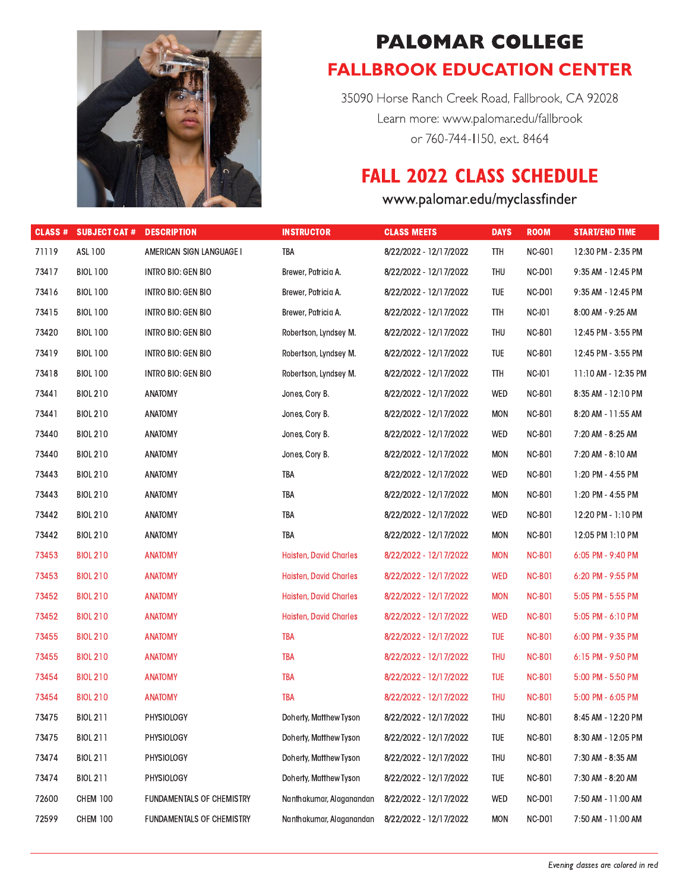

## **PALOMAR COLLEGE FALLBROOK EDUCATION CENTER**

35090 Horse Ranch Creek Road, Fallbrook, CA 92028 Learn more: www.palomar.edu/fallbrook or 760-744-1150, ext. 8464

## **FALL 2022 CLASS SCHEDULE**

## www.palomar.edu/myclassfinder

| CLASS <sup>#</sup> | <b>SUBJECT CAT #</b> | <b>DESCRIPTION</b>        | <b>INSTRUCTOR</b>             | <b>CLASS MEETS</b>     | <b>DAYS</b> | <b>ROOM</b>   | <b>START/END TIME</b> |
|--------------------|----------------------|---------------------------|-------------------------------|------------------------|-------------|---------------|-----------------------|
| 71119              | ASL 100              | AMERICAN SIGN LANGUAGE I  | TBA                           | 8/22/2022 - 12/17/2022 | <b>TTH</b>  | NC-G01        | 12:30 PM - 2:35 PM    |
| 73417              | <b>BIOL 100</b>      | <b>INTRO BIO: GEN BIO</b> | Brewer, Patricia A.           | 8/22/2022 - 12/17/2022 | THU         | NC-D01        | 9:35 AM - 12:45 PM    |
| 73416              | <b>BIOL 100</b>      | INTRO BIO: GEN BIO        | Brewer, Patricia A.           | 8/22/2022 - 12/17/2022 | TUE         | NC-D01        | 9:35 AM - 12:45 PM    |
| 73415              | <b>BIOL 100</b>      | INTRO BIO: GEN BIO        | Brewer, Patricia A.           | 8/22/2022 - 12/17/2022 | TTH         | <b>NC-I01</b> | 8:00 AM - 9:25 AM     |
| 73420              | <b>BIOL 100</b>      | <b>INTRO BIO: GEN BIO</b> | Robertson, Lyndsey M.         | 8/22/2022 - 12/17/2022 | THU         | NC-B01        | 12:45 PM - 3:55 PM    |
| 73419              | <b>BIOL 100</b>      | INTRO BIO: GEN BIO        | Robertson, Lyndsey M.         | 8/22/2022 - 12/17/2022 | TUE         | NC-B01        | 12:45 PM - 3:55 PM    |
| 73418              | <b>BIOL 100</b>      | <b>INTRO BIO: GEN BIO</b> | Robertson, Lyndsey M.         | 8/22/2022 - 12/17/2022 | TTH         | <b>NC-I01</b> | 11:10 AM - 12:35 PM   |
| 73441              | <b>BIOL 210</b>      | ANATOMY                   | Jones, Cory B.                | 8/22/2022 - 12/17/2022 | WED         | NC-B01        | 8:35 AM - 12:10 PM    |
| 73441              | <b>BIOL 210</b>      | <b>ANATOMY</b>            | Jones, Cory B.                | 8/22/2022 - 12/17/2022 | <b>MON</b>  | NC-B01        | 8:20 AM - 11:55 AM    |
| 73440              | <b>BIOL 210</b>      | <b>ANATOMY</b>            | Jones, Cory B.                | 8/22/2022 - 12/17/2022 | WED         | NC-B01        | 7:20 AM - 8:25 AM     |
| 73440              | <b>BIOL 210</b>      | <b>ANATOMY</b>            | Jones, Cory B.                | 8/22/2022 - 12/17/2022 | <b>MON</b>  | NC-B01        | 7:20 AM - 8:10 AM     |
| 73443              | <b>BIOL 210</b>      | <b>ANATOMY</b>            | TBA                           | 8/22/2022 - 12/17/2022 | WED         | NC-B01        | 1:20 PM - 4:55 PM     |
| 73443              | <b>BIOL 210</b>      | ANATOMY                   | TBA                           | 8/22/2022 - 12/17/2022 | <b>MON</b>  | NC-B01        | 1:20 PM - 4:55 PM     |
| 73442              | <b>BIOL 210</b>      | <b>ANATOMY</b>            | TBA                           | 8/22/2022 - 12/17/2022 | WED         | NC-B01        | 12:20 PM - 1:10 PM    |
| 73442              | <b>BIOL 210</b>      | ANATOMY                   | TBA                           | 8/22/2022 - 12/17/2022 | <b>MON</b>  | NC-B01        | 12:05 PM 1:10 PM      |
| 73453              | <b>BIOL 210</b>      | <b>ANATOMY</b>            | <b>Haisten, David Charles</b> | 8/22/2022 - 12/17/2022 | <b>MON</b>  | <b>NC-B01</b> | 6:05 PM - 9:40 PM     |
| 73453              | <b>BIOL 210</b>      | <b>ANATOMY</b>            | <b>Haisten, David Charles</b> | 8/22/2022 - 12/17/2022 | <b>WED</b>  | <b>NC-B01</b> | 6:20 PM - 9:55 PM     |
| 73452              | <b>BIOL 210</b>      | <b>ANATOMY</b>            | <b>Haisten, David Charles</b> | 8/22/2022 - 12/17/2022 | <b>MON</b>  | <b>NC-B01</b> | 5:05 PM - 5:55 PM     |
| 73452              | <b>BIOL 210</b>      | <b>ANATOMY</b>            | <b>Haisten, David Charles</b> | 8/22/2022 - 12/17/2022 | <b>WED</b>  | <b>NC-B01</b> | 5:05 PM - 6:10 PM     |
| 73455              | <b>BIOL 210</b>      | <b>ANATOMY</b>            | <b>TBA</b>                    | 8/22/2022 - 12/17/2022 | <b>TUE</b>  | <b>NC-B01</b> | 6:00 PM - 9:35 PM     |
| 73455              | <b>BIOL 210</b>      | <b>ANATOMY</b>            | <b>TBA</b>                    | 8/22/2022 - 12/17/2022 | THU         | <b>NC-B01</b> | $6:15$ PM - 9:50 PM   |
| 73454              | <b>BIOL 210</b>      | <b>ANATOMY</b>            | <b>TBA</b>                    | 8/22/2022 - 12/17/2022 | <b>TUE</b>  | <b>NC-B01</b> | 5:00 PM - 5:50 PM     |
| 73454              | <b>BIOL 210</b>      | <b>ANATOMY</b>            | <b>TBA</b>                    | 8/22/2022 - 12/17/2022 | THU         | <b>NC-B01</b> | 5:00 PM - 6:05 PM     |
| 73475              | <b>BIOL 211</b>      | PHYSIOLOGY                | Doherty, Matthew Tyson        | 8/22/2022 - 12/17/2022 | THU         | NC-B01        | 8:45 AM - 12:20 PM    |
| 73475              | <b>BIOL 211</b>      | PHYSIOLOGY                | Doherty, Matthew Tyson        | 8/22/2022 - 12/17/2022 | TUE         | NC-B01        | 8:30 AM - 12:05 PM    |
| 73474              | <b>BIOL 211</b>      | PHYSIOLOGY                | Doherty, Matthew Tyson        | 8/22/2022 - 12/17/2022 | THU         | NC-B01        | 7:30 AM - 8:35 AM     |
| 73474              | <b>BIOL 211</b>      | PHYSIOLOGY                | Doherty, Matthew Tyson        | 8/22/2022 - 12/17/2022 | TUE         | NC-B01        | 7:30 AM - 8:20 AM     |
| 72600              | <b>CHEM 100</b>      | FUNDAMENTALS OF CHEMISTRY | Nanthakumar, Alaganandan      | 8/22/2022 - 12/17/2022 | WED         | NC-D01        | 7:50 AM - 11:00 AM    |
| 72599              | <b>CHEM 100</b>      | FUNDAMENTALS OF CHEMISTRY | Nanthakumar, Alaganandan      | 8/22/2022 - 12/17/2022 | <b>MON</b>  | NC-D01        | 7:50 AM - 11:00 AM    |